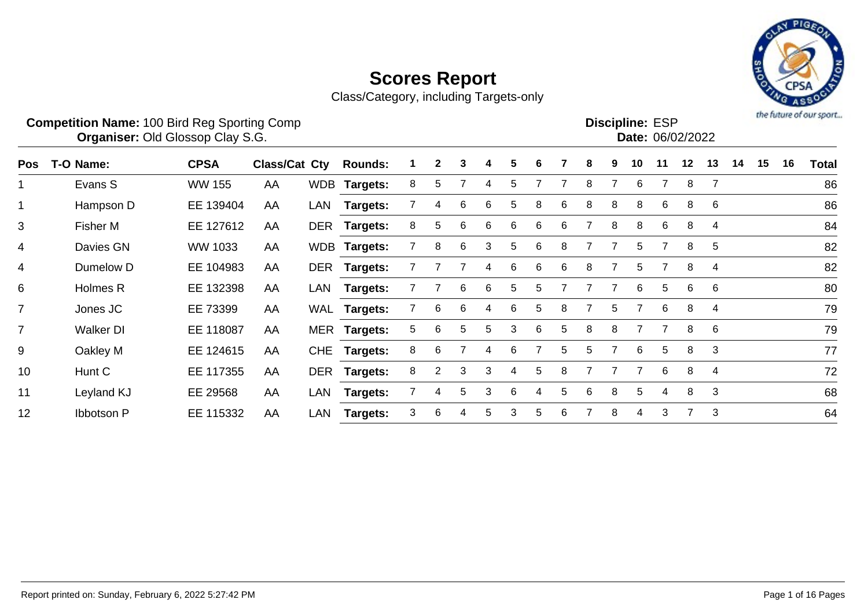

Class/Category, including Targets-only

|     | <b>Competition Name: 100 Bird Reg Sporting Comp</b> | <b>Organiser: Old Glossop Clay S.G.</b> |                      |            |                 |   |                |   |   |    |   |    |   |    | <b>Discipline: ESP</b> |    | Date: 06/02/2022 |                |    |    |    | the future of our sport |
|-----|-----------------------------------------------------|-----------------------------------------|----------------------|------------|-----------------|---|----------------|---|---|----|---|----|---|----|------------------------|----|------------------|----------------|----|----|----|-------------------------|
| Pos | T-O Name:                                           | <b>CPSA</b>                             | <b>Class/Cat Cty</b> |            | <b>Rounds:</b>  |   | 2              | 3 |   | 5  | 6 |    | 8 | 9  | 10                     | 11 | 12               | 13             | 14 | 15 | 16 | <b>Total</b>            |
|     | Evans S                                             | <b>WW 155</b>                           | AA                   | <b>WDB</b> | <b>Targets:</b> | 8 | 5              |   | 4 | 5  |   |    | 8 |    | 6                      |    | 8                | $\overline{7}$ |    |    |    | 86                      |
|     | Hampson D                                           | EE 139404                               | AA                   | LAN        | Targets:        |   | 4              | 6 | 6 | 5  | 8 | 6  | 8 | 8  | 8                      | 6  | 8                | 6              |    |    |    | 86                      |
| 3   | Fisher M                                            | EE 127612                               | AA                   | <b>DER</b> | <b>Targets:</b> | 8 | 5              | 6 | 6 | 6  | 6 | 6  |   | 8  | 8                      | 6  | 8                | 4              |    |    |    | 84                      |
| 4   | Davies GN                                           | WW 1033                                 | AA                   | <b>WDB</b> | <b>Targets:</b> |   | 8              | 6 | 3 | 5  | 6 | 8  |   |    | 5                      |    | 8                | 5              |    |    |    | 82                      |
| 4   | Dumelow D                                           | EE 104983                               | AA                   | <b>DER</b> | <b>Targets:</b> |   |                |   | 4 | 6  | 6 | 6  | 8 |    | 5                      |    | 8                | 4              |    |    |    | 82                      |
| 6   | Holmes R                                            | EE 132398                               | AA                   | LAN        | <b>Targets:</b> |   |                | 6 | 6 | -5 | 5 |    |   |    | 6                      | 5  | 6                | 6              |    |    |    | 80                      |
|     | Jones JC                                            | EE 73399                                | AA                   | WAL        | <b>Targets:</b> |   | 6              | 6 | 4 | 6  | 5 | 8  |   | 5. |                        | 6  | 8                | 4              |    |    |    | 79                      |
|     | <b>Walker DI</b>                                    | EE 118087                               | AA                   | MER        | Targets:        | 5 | 6              | 5 | 5 | 3  | 6 | 5. | 8 | 8  |                        |    | 8                | 6              |    |    |    | 79                      |
| 9   | Oakley M                                            | EE 124615                               | AA                   | <b>CHE</b> | Targets:        | 8 | 6              |   | 4 | 6  |   | 5  | 5 |    | 6                      | 5  | 8                | 3              |    |    |    | 77                      |
| 10  | Hunt C                                              | EE 117355                               | AA                   | <b>DER</b> | Targets:        | 8 | $\overline{2}$ | 3 | 3 | 4  | 5 | 8  |   |    |                        | 6  | 8                | 4              |    |    |    | 72                      |

11 Leyland KJ EE 29568 AA LAN **Targets:** 7 4 5 3 6 4 5 6 8 5 4 8 3 68

12 Ibbotson P EE 115332 AA LAN **Targets:** 3 6 4 5 3 5 6 7 8 4 3 7 3 64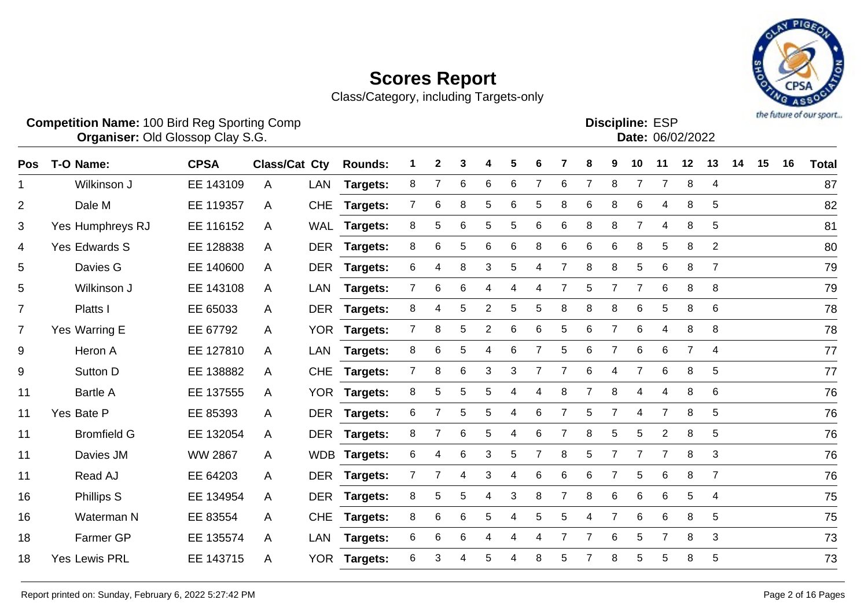

Class/Category, including Targets-only

| <b>Competition Name: 100 Bird Reg Sporting Comp</b> | <b>Discipline: ESP</b>                             |
|-----------------------------------------------------|----------------------------------------------------|
| Organiser: Old Glosson Clay S.G.                    | $\mathsf{Data}$ : $\mathsf{A}\mathsf{A}\mathsf{A}$ |

**Organiser:** Old Glossop Clay S.G. **Community Contract Contract Contract Contract Contract Contract Contract Contract Contract Contract Contract Contract Contract Contract Contract Contract Contract Contract Contract Contr** 

| Date: 06/02/2022 |
|------------------|
|                  |

| Pos            | T-O Name:          | <b>CPSA</b>    | <b>Class/Cat Cty</b> |            | <b>Rounds:</b>  |                | $\mathbf{2}$   | 3               |                | 5           | 6              |                | 8 | 9              | 10              | 11             | 12             | 13             | 14 | 15 | 16 | <b>Total</b> |
|----------------|--------------------|----------------|----------------------|------------|-----------------|----------------|----------------|-----------------|----------------|-------------|----------------|----------------|---|----------------|-----------------|----------------|----------------|----------------|----|----|----|--------------|
| $\mathbf 1$    | Wilkinson J        | EE 143109      | A                    | LAN        | <b>Targets:</b> | 8              |                | 6               | 6              | 6           |                | 6              | 7 | 8              | $\overline{7}$  |                | 8              | 4              |    |    |    | 87           |
| $\overline{2}$ | Dale M             | EE 119357      | A                    | <b>CHE</b> | Targets:        | 7              | 6              | 8               | 5              | 6           | 5              | 8              | 6 | 8              | 6               | 4              | 8              | 5              |    |    |    | 82           |
| 3              | Yes Humphreys RJ   | EE 116152      | A                    |            | WAL Targets:    | 8              | 5              | 6               | 5              | 5           | 6              | 6              | 8 | 8              | 7               | 4              | 8              | 5              |    |    |    | 81           |
| 4              | Yes Edwards S      | EE 128838      | A                    | <b>DER</b> | <b>Targets:</b> | 8              | 6              | 5               | 6              | 6           | 8              | 6              | 6 | 6              | 8               | 5              | 8              | $\overline{2}$ |    |    |    | 80           |
| 5              | Davies G           | EE 140600      | A                    | <b>DER</b> | <b>Targets:</b> | 6              | 4              | 8               | 3              | $\mathbf 5$ | 4              | $\overline{7}$ | 8 | 8              | 5               | 6              | 8              | $\overline{7}$ |    |    |    | 79           |
| 5              | Wilkinson J        | EE 143108      | A                    | <b>LAN</b> | <b>Targets:</b> | $\overline{7}$ | 6              | 6               | 4              | 4           | 4              | 7              | 5 | $\overline{7}$ | $\overline{7}$  | 6              | 8              | 8              |    |    |    | 79           |
| $\overline{7}$ | Platts I           | EE 65033       | A                    | <b>DER</b> | <b>Targets:</b> | 8              | 4              | 5               | $\overline{2}$ | 5           | 5              | 8              | 8 | 8              | 6               | 5              | 8              | 6              |    |    |    | 78           |
| $\overline{7}$ | Yes Warring E      | EE 67792       | A                    |            | YOR Targets:    | 7 <sup>1</sup> | 8              | 5               | $\overline{2}$ | 6           | 6              | 5              | 6 | $\overline{7}$ | 6               | 4              | 8              | 8              |    |    |    | 78           |
| 9              | Heron A            | EE 127810      | A                    | <b>LAN</b> | <b>Targets:</b> | 8              | 6              | 5               | 4              | $\,6$       |                | 5              | 6 | $\overline{7}$ | $6\phantom{1}6$ | 6              | $\overline{7}$ | 4              |    |    |    | 77           |
| 9              | Sutton D           | EE 138882      | A                    | <b>CHE</b> | <b>Targets:</b> | $\overline{7}$ | 8              | 6               | 3              | 3           |                |                | 6 |                | $\overline{7}$  | 6              | 8              | 5              |    |    |    | 77           |
| 11             | <b>Bartle A</b>    | EE 137555      | A                    | <b>YOR</b> | <b>Targets:</b> | 8              | 5              | 5               | 5              |             | 4              | 8              |   | 8              | 4               | 4              | 8              | 6              |    |    |    | 76           |
| 11             | Yes Bate P         | EE 85393       | A                    | <b>DER</b> | <b>Targets:</b> | 6              |                | 5               | 5.             | 4           | 6              |                | 5 | 7              | 4               | $\overline{7}$ | 8              | 5              |    |    |    | 76           |
| 11             | <b>Bromfield G</b> | EE 132054      | A                    |            | DER Targets:    | 8              | $\overline{7}$ | 6               | 5              | 4           | 6              | 7              | 8 | 5              | $\sqrt{5}$      | $\overline{2}$ | 8              | 5              |    |    |    | 76           |
| 11             | Davies JM          | <b>WW 2867</b> | A                    |            | WDB Targets:    | 6              | 4              | $6\phantom{1}6$ | 3              | $\mathbf 5$ | $\overline{7}$ | 8              | 5 | $\overline{7}$ | $\overline{7}$  | $\overline{7}$ | 8              | $\sqrt{3}$     |    |    |    | 76           |
| 11             | Read AJ            | EE 64203       | A                    | <b>DER</b> | <b>Targets:</b> | 7              | 7              | 4               | 3              | 4           | 6              | 6              | 6 | 7              | 5               | 6              | 8              | $\overline{7}$ |    |    |    | 76           |
| 16             | Phillips S         | EE 134954      | $\mathsf{A}$         | <b>DER</b> | <b>Targets:</b> | 8              | 5              | 5               | 4              | 3           | 8              | 7              | 8 | 6              | 6               | 6              | 5              | $\overline{4}$ |    |    |    | 75           |
| 16             | Waterman N         | EE 83554       | A                    | <b>CHE</b> | <b>Targets:</b> | 8              | 6              | 6               | 5              | 4           | 5              | 5              | 4 | $\overline{7}$ | 6               | 6              | 8              | 5              |    |    |    | 75           |
| 18             | Farmer GP          | EE 135574      | A                    | <b>LAN</b> | <b>Targets:</b> | 6              | 6              | 6               | 4              | 4           | 4              |                | 7 | 6              | 5               | $\overline{7}$ | 8              | 3              |    |    |    | 73           |
| 18             | Yes Lewis PRL      | EE 143715      | A                    |            | YOR Targets:    | 6              | 3              | 4               |                |             | 8              |                |   | 8              | 5               | 5              | 8              | 5              |    |    |    | 73           |
|                |                    |                |                      |            |                 |                |                |                 |                |             |                |                |   |                |                 |                |                |                |    |    |    |              |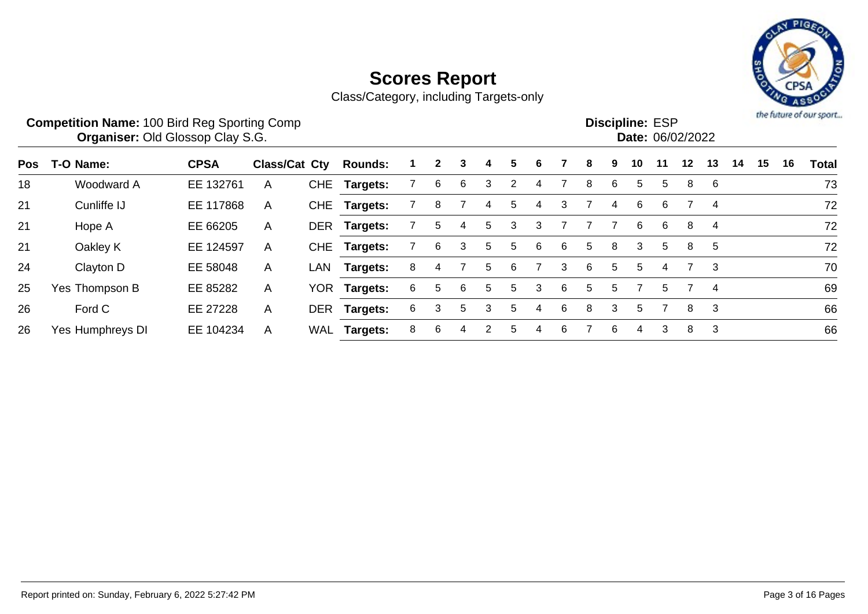

|     | <b>Competition Name: 100 Bird Reg Sporting Comp</b><br><b>Organiser: Old Glossop Clay S.G.</b> |             |               |            |                |    |              |    |   |                |   |   |             |   | <b>Discipline: ESP</b><br>Date: 06/02/2022 |    |         |    |    |    |    | the future of our sport |
|-----|------------------------------------------------------------------------------------------------|-------------|---------------|------------|----------------|----|--------------|----|---|----------------|---|---|-------------|---|--------------------------------------------|----|---------|----|----|----|----|-------------------------|
| Pos | T-O Name:                                                                                      | <b>CPSA</b> | Class/Cat Cty |            | <b>Rounds:</b> |    | $\mathbf{2}$ | 3  | 4 | 5.             | 6 |   |             | 9 | 10                                         | 11 | $12 \,$ | 13 | 14 | 15 | 16 | <b>Total</b>            |
| 18  | Woodward A                                                                                     | EE 132761   | A             | <b>CHE</b> | Targets:       |    | 6            | 6  | 3 | $\overline{2}$ | 4 |   | 8           | 6 | 5.                                         | 5  | 8       | 6  |    |    |    | 73                      |
| 21  | Cunliffe IJ                                                                                    | EE 117868   | A             | <b>CHE</b> | Targets:       |    | 8            |    | 4 | 5.             | 4 | 3 |             | 4 | 6                                          | 6  |         | 4  |    |    |    | 72                      |
| 21  | Hope A                                                                                         | EE 66205    | A             | <b>DER</b> | Targets:       |    | 5            | 4  | 5 | 3              | 3 |   |             |   | 6                                          | 6  | 8       | 4  |    |    |    | 72                      |
| 21  | Oakley K                                                                                       | EE 124597   | A             | <b>CHE</b> | Targets:       |    | 6            | 3  | 5 | 5.             | 6 | 6 | $5^{\circ}$ | 8 | 3                                          | -5 | 8       | 5  |    |    |    | 72                      |
| 24  | Clayton D                                                                                      | EE 58048    | $\mathsf{A}$  | LAN        | Targets:       | 8  | 4            |    | 5 | 6              |   | 3 | 6           | 5 | 5                                          | 4  |         | 3  |    |    |    | 70                      |
| 25  | Yes Thompson B                                                                                 | EE 85282    | A             | YOR.       | Targets:       | 6. | 5            | 6  | 5 | 5.             | 3 | 6 | 5.          | 5 |                                            | 5  |         | 4  |    |    |    | 69                      |
| 26  | Ford C                                                                                         | EE 27228    | A             | <b>DER</b> | Targets:       | 6. | 3            | 5. | 3 | 5.             | 4 | 6 | 8           | 3 | 5                                          |    | 8       | 3  |    |    |    | 66                      |
| 26  | Yes Humphreys DI                                                                               | EE 104234   | A             | WAL        | Targets:       | 8  | 6            | 4  | 2 | 5.             | 4 | 6 |             | 6 | 4                                          | 3  | 8       | 3  |    |    |    | 66                      |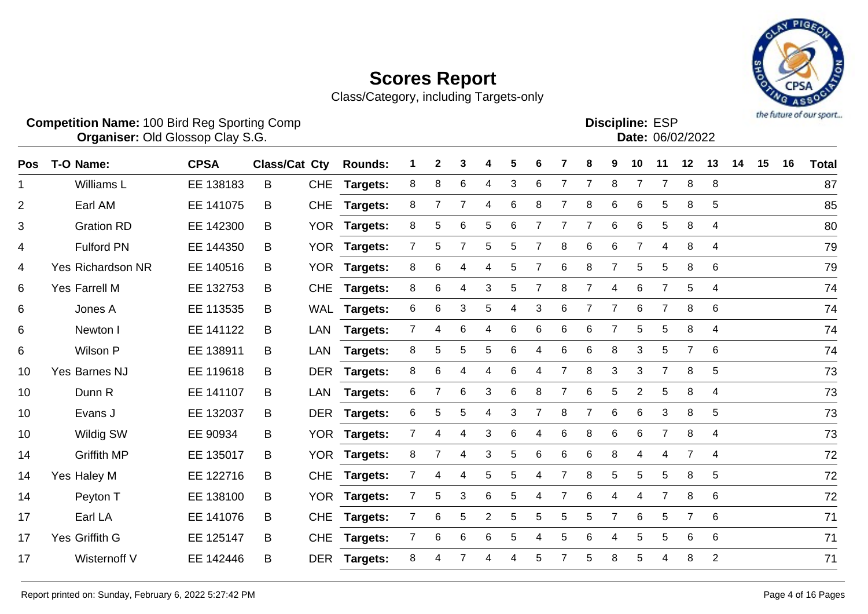

Class/Category, including Targets-only

|     | <b>Competition Name: 100 Bird Reg Sporting Comp</b><br>Organiser: Old Glossop Clay S.G. |             |                      |            |                 |   |              |   |   |   |   |   |                |   |                | <b>Discipline: ESP</b><br>Date: 06/02/2022 |                |                |    |    |    | the future of our sport. |
|-----|-----------------------------------------------------------------------------------------|-------------|----------------------|------------|-----------------|---|--------------|---|---|---|---|---|----------------|---|----------------|--------------------------------------------|----------------|----------------|----|----|----|--------------------------|
| Pos | T-O Name:                                                                               | <b>CPSA</b> | <b>Class/Cat Cty</b> |            | <b>Rounds:</b>  |   | $\mathbf{2}$ | 3 |   | 5 |   |   | 8              | 9 | 10             | 11                                         | 12             | 13             | 14 | 15 | 16 | <b>Total</b>             |
|     | Williams L                                                                              | EE 138183   | B                    | <b>CHE</b> | <b>Targets:</b> | 8 | 8            | 6 | 4 | 3 | 6 |   |                | 8 |                |                                            | 8              | 8              |    |    |    | 87                       |
| 2   | Earl AM                                                                                 | EE 141075   | B                    | <b>CHE</b> | Targets:        | 8 | 7            |   | 4 | 6 | 8 |   | 8              | 6 | 6              | 5                                          | 8              | 5              |    |    |    | 85                       |
| 3   | <b>Gration RD</b>                                                                       | EE 142300   | B                    | <b>YOR</b> | Targets:        | 8 | 5            | 6 | 5 | 6 |   |   |                | 6 | 6              | 5                                          | 8              | $\overline{4}$ |    |    |    | 80                       |
| 4   | <b>Fulford PN</b>                                                                       | EE 144350   | B                    | YOR        | <b>Targets:</b> |   | 5            |   | 5 | 5 |   | 8 | 6              | 6 | $\overline{7}$ | 4                                          | 8              | $\overline{4}$ |    |    |    | 79                       |
| 4   | <b>Yes Richardson NR</b>                                                                | EE 140516   | B                    | <b>YOR</b> | <b>Targets:</b> | 8 | 6            |   | 4 | 5 |   | 6 | 8              |   | 5              | 5                                          | 8              | 6              |    |    |    | 79                       |
| 6   | Yes Farrell M                                                                           | EE 132753   | B                    | <b>CHE</b> | Targets:        | 8 | 6            | 4 | 3 | 5 |   | 8 | $\overline{7}$ | 4 | 6              |                                            | 5              | $\overline{4}$ |    |    |    | 74                       |
| 6   | Jones A                                                                                 | EE 113535   | B                    | WAL        | Targets:        | 6 | 6            | 3 | 5 | 4 | 3 | 6 | 7              | 7 | 6              |                                            | 8              | 6              |    |    |    | 74                       |
| 6   | Newton I                                                                                | EE 141122   | B                    | LAN        | Targets:        |   | 4            | 6 |   | 6 | 6 | 6 | 6              |   | 5              | 5                                          | 8              | 4              |    |    |    | 74                       |
| 6   | Wilson P                                                                                | EE 138911   | B                    | LAN        | Targets:        | 8 | 5            | 5 | 5 | 6 | 4 | 6 | 6              | 8 | 3              | 5.                                         | $\overline{7}$ | 6              |    |    |    | 74                       |
| 10  | Yes Barnes NJ                                                                           | EE 119618   | B                    | <b>DER</b> | Targets:        | 8 | 6            | 4 | 4 | 6 |   | 7 | 8              | 3 | 3              | 7                                          | 8              | 5              |    |    |    | 73                       |
| 10  | Dunn R                                                                                  | EE 141107   | B                    | LAN        | <b>Targets:</b> | 6 |              | 6 | 3 | 6 | 8 |   | 6              | 5 | 2              | 5                                          | 8              | 4              |    |    |    | 73                       |
| 10  | Evans J                                                                                 | EE 132037   | B                    | <b>DER</b> | Targets:        | 6 | 5            | 5 | 4 | 3 |   | 8 | $\overline{7}$ | 6 | 6              | 3                                          | 8              | 5              |    |    |    | 73                       |
| 10  | Wildig SW                                                                               | EE 90934    | B                    | YOR I      | <b>Targets:</b> |   |              |   | 3 | 6 |   | 6 | 8              | 6 | 6              |                                            | 8              | $\overline{4}$ |    |    |    | 73                       |

Griffith MP EE 135017 B YOR **Targets:** 8 7 4 3 5 6 6 6 8 4 4 7 4 72

Yes Haley M EE 122716 B CHE **Targets:** 7 4 4 5 5 4 7 8 5 5 5 8 5 72

Peyton T EE 138100 B YOR **Targets:** 7 5 3 6 5 4 7 6 4 4 7 8 6 72

 Earl LA EE 141076 B CHE **Targets:** 7 6 5 2 5 5 5 5 7 6 5 7 6 71 Yes Griffith G EE 125147 B CHE **Targets:** 7 6 6 6 5 4 5 6 4 5 5 6 6 71

Wisternoff V EE 142446 B DER **Targets:** 8 4 7 4 4 5 7 5 8 5 4 8 2 71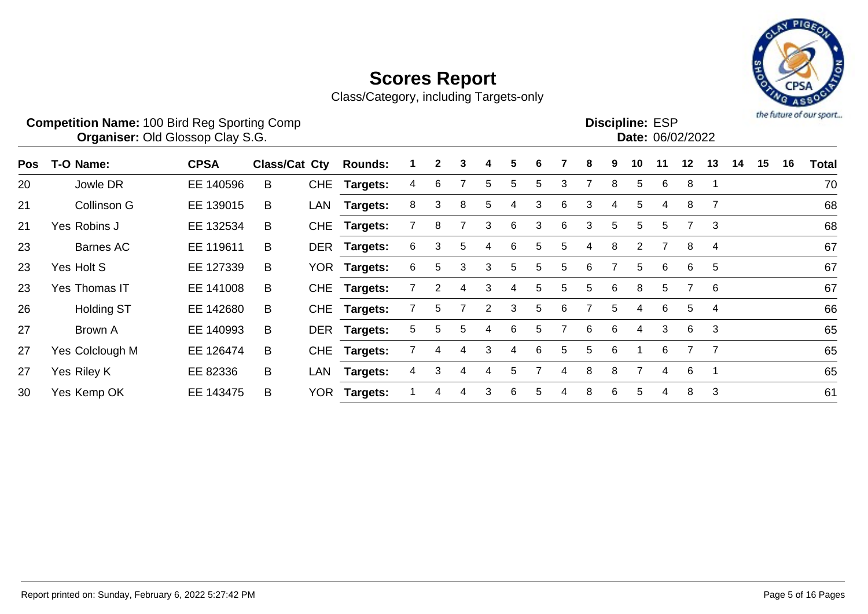

|     | <b>Competition Name: 100 Bird Reg Sporting Comp</b><br><b>Organiser: Old Glossop Clay S.G.</b> |             |               |            |                 |   |    |   |                |   |    |   |   |    | <b>Discipline: ESP</b><br>Date: 06/02/2022 |    |    |    |    |    |    | the future of our sport |
|-----|------------------------------------------------------------------------------------------------|-------------|---------------|------------|-----------------|---|----|---|----------------|---|----|---|---|----|--------------------------------------------|----|----|----|----|----|----|-------------------------|
| Pos | T-O Name:                                                                                      | <b>CPSA</b> | Class/Cat Cty |            | <b>Rounds:</b>  |   | 2  | 3 | 4              | 5 | 6. |   | 8 | 9  | 10                                         | 11 | 12 | 13 | 14 | 15 | 16 | <b>Total</b>            |
| 20  | Jowle DR                                                                                       | EE 140596   | B             | <b>CHE</b> | Targets:        | 4 | 6  |   | 5              | 5 | 5  | 3 | 7 | 8  | 5                                          | 6  | 8  |    |    |    |    | 70                      |
| 21  | Collinson G                                                                                    | EE 139015   | B             | LAN        | Targets:        | 8 | 3  | 8 | 5              | 4 | 3  | 6 | 3 | 4  | 5                                          | 4  | 8  |    |    |    |    | 68                      |
| 21  | Yes Robins J                                                                                   | EE 132534   | B             | <b>CHE</b> | Targets:        |   | 8  |   | 3              | 6 | 3  | 6 | 3 | 5  | 5                                          | 5  |    | 3  |    |    |    | 68                      |
| 23  | Barnes AC                                                                                      | EE 119611   | B             | <b>DER</b> | Targets:        | 6 | 3  | 5 | 4              | 6 | 5  | 5 | 4 | 8  | $\overline{2}$                             |    | 8  | 4  |    |    |    | 67                      |
| 23  | Yes Holt S                                                                                     | EE 127339   | B             | <b>YOR</b> | <b>Targets:</b> | 6 | 5. | 3 | 3              | 5 | 5  | 5 | 6 |    | 5                                          | 6  | 6  | 5  |    |    |    | 67                      |
| 23  | Yes Thomas IT                                                                                  | EE 141008   | B             | <b>CHE</b> | Targets:        |   |    | 4 | 3              | 4 | 5  | 5 | 5 | 6  | 8                                          | 5  |    | -6 |    |    |    | 67                      |
| 26  | <b>Holding ST</b>                                                                              | EE 142680   | B             | <b>CHE</b> | Targets:        |   | 5. |   | $\overline{2}$ | 3 | 5  | 6 |   | 5. | 4                                          | 6  | 5  | 4  |    |    |    | 66                      |
| 27  | Brown A                                                                                        | EE 140993   | B             | DER        | <b>Targets:</b> | 5 | 5. | 5 | 4              | 6 | 5  |   | 6 | 6  | 4                                          | 3  | 6  | 3  |    |    |    | 65                      |
| 27  | Yes Colclough M                                                                                | EE 126474   | B             | <b>CHE</b> | Targets:        |   | 4  |   | 3              | 4 | 6  | 5 | 5 | 6  |                                            | 6  |    |    |    |    |    | 65                      |
| 27  | Yes Riley K                                                                                    | EE 82336    | B             | LAN        | Targets:        | 4 | 3  | 4 | 4              | 5 |    | 4 | 8 | 8  | 7                                          | 4  | 6  |    |    |    |    | 65                      |
| 30  | Yes Kemp OK                                                                                    | EE 143475   | B             | YOR.       | Targets:        |   | 4  | 4 | 3              | 6 | 5  | 4 | 8 | 6  | 5                                          | 4  | 8  | 3  |    |    |    | 61                      |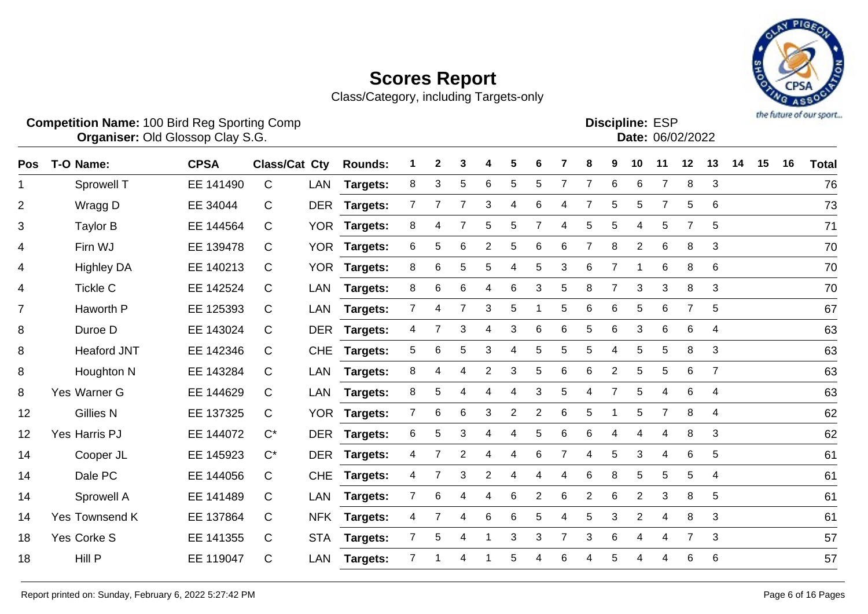

Class/Category, including Targets-only

|     | <b>Competition Name: 100 Bird Reg Sporting Comp</b><br>Organiser: Old Glossop Clay S.G. |             |                      |            |                 |                |   |                |                |                |                |   |                |                | <b>Discipline: ESP</b><br>Date: 06/02/2022 |                |                |                |    |    |    | the future of our sport |
|-----|-----------------------------------------------------------------------------------------|-------------|----------------------|------------|-----------------|----------------|---|----------------|----------------|----------------|----------------|---|----------------|----------------|--------------------------------------------|----------------|----------------|----------------|----|----|----|-------------------------|
| Pos | T-O Name:                                                                               | <b>CPSA</b> | <b>Class/Cat Cty</b> |            | <b>Rounds:</b>  |                | 2 | 3              | 4              | 5              | 6              |   | 8              | 9              | 10                                         | 11             | 12             | 13             | 14 | 15 | 16 | <b>Total</b>            |
| 1.  | Sprowell T                                                                              | EE 141490   | C                    | LAN        | Targets:        | 8              | 3 | 5              | 6              | 5              | 5              | 7 | 7              | 6              | 6                                          | $\overline{7}$ | 8              | 3              |    |    |    | 76                      |
| 2   | Wragg D                                                                                 | EE 34044    | C                    | <b>DER</b> | Targets:        | 7              | 7 | 7              | 3              | 4              | 6              |   | 7              | 5              | 5                                          | 7              | 5              | 6              |    |    |    | 73                      |
| 3   | <b>Taylor B</b>                                                                         | EE 144564   | C                    | <b>YOR</b> | Targets:        | 8              | 4 |                | 5              | 5              | 7              | 4 | 5              | 5              | 4                                          | 5              | $\overline{7}$ | 5              |    |    |    | 71                      |
| 4   | Firn WJ                                                                                 | EE 139478   | C                    | <b>YOR</b> | Targets:        | 6              | 5 | 6              | $\overline{2}$ | 5              | 6              | 6 | $\overline{7}$ | 8              | $\overline{2}$                             | $\,6$          | 8              | 3              |    |    |    | 70                      |
| 4   | <b>Highley DA</b>                                                                       | EE 140213   | C                    | <b>YOR</b> | <b>Targets:</b> | 8              | 6 | 5              | 5              | 4              | 5              | 3 | 6              | $\overline{7}$ |                                            | 6              | 8              | 6              |    |    |    | 70                      |
| 4   | <b>Tickle C</b>                                                                         | EE 142524   | C                    | <b>LAN</b> | Targets:        | 8              | 6 | 6              | 4              | 6              | 3              | 5 | 8              | 7              | 3                                          | 3              | 8              | 3              |    |    |    | 70                      |
| 7   | Haworth P                                                                               | EE 125393   | C                    | <b>LAN</b> | Targets:        | 7              | 4 | 7              | 3              | 5              |                | 5 | 6              | 6              | 5                                          | 6              | $\overline{7}$ | 5              |    |    |    | 67                      |
| 8   | Duroe D                                                                                 | EE 143024   | C                    | <b>DER</b> | Targets:        | 4              | 7 | 3              | 4              | 3              | 6              | 6 | 5              | 6              | 3                                          | 6              | 6              | 4              |    |    |    | 63                      |
| 8   | <b>Heaford JNT</b>                                                                      | EE 142346   | C                    | <b>CHE</b> | Targets:        | 5              | 6 | 5              | 3              | 4              | 5              | 5 | 5              | 4              | 5                                          | 5              | 8              | 3              |    |    |    | 63                      |
| 8   | Houghton N                                                                              | EE 143284   | C                    | LAN        | Targets:        | 8              | 4 | 4              | 2              | 3              | 5              | 6 | 6              | $\overline{c}$ | 5                                          | 5              | 6              | $\overline{7}$ |    |    |    | 63                      |
| 8   | Yes Warner G                                                                            | EE 144629   | C                    | <b>LAN</b> | Targets:        | 8              | 5 | 4              | 4              | 4              | 3              | 5 | 4              | $\overline{7}$ | 5                                          | 4              | 6              | 4              |    |    |    | 63                      |
| 12  | <b>Gillies N</b>                                                                        | EE 137325   | C                    | <b>YOR</b> | Targets:        | 7              | 6 | 6              | 3              | $\overline{2}$ | $\overline{c}$ | 6 | 5              |                | 5                                          | $\overline{7}$ | 8              | $\overline{4}$ |    |    |    | 62                      |
| 12  | Yes Harris PJ                                                                           | EE 144072   | $C^*$                | <b>DER</b> | Targets:        | 6              | 5 | 3              | 4              | 4              | 5              | 6 | 6              | 4              | 4                                          | 4              | 8              | 3              |    |    |    | 62                      |
| 14  | Cooper JL                                                                               | EE 145923   | $C^*$                | <b>DER</b> | Targets:        | 4              | 7 | $\overline{2}$ | 4              | 4              | 6              | 7 | $\overline{4}$ | 5              | 3                                          | 4              | 6              | 5              |    |    |    | 61                      |
| 14  | Dale PC                                                                                 | EE 144056   | C                    | <b>CHE</b> | Targets:        | 4              | 7 | 3              | 2              | 4              | 4              | 4 | 6              | 8              | 5                                          | 5              | 5              | 4              |    |    |    | 61                      |
| 14  | Sprowell A                                                                              | EE 141489   | C                    | LAN        | Targets:        | 7              | 6 | 4              | 4              | 6              | $\overline{2}$ | 6 | $\overline{2}$ | 6              | $\overline{2}$                             | 3              | 8              | 5              |    |    |    | 61                      |
| 14  | Yes Townsend K                                                                          | EE 137864   | C                    | <b>NFK</b> | Targets:        | 4              |   | 4              | 6              | 6              | 5              | 4 | 5              | 3              | $\overline{2}$                             | 4              | 8              | 3              |    |    |    | 61                      |
| 18  | Yes Corke S                                                                             | EE 141355   | $\mathsf{C}$         | <b>STA</b> | Targets:        | $\overline{7}$ | 5 | 4              |                | 3              | 3              | 7 | 3              | 6              | 4                                          | 4              |                | 3              |    |    |    | 57                      |

Hill P EE 119047 C LAN **Targets:** 7 1 4 1 5 4 6 4 5 4 4 6 6 57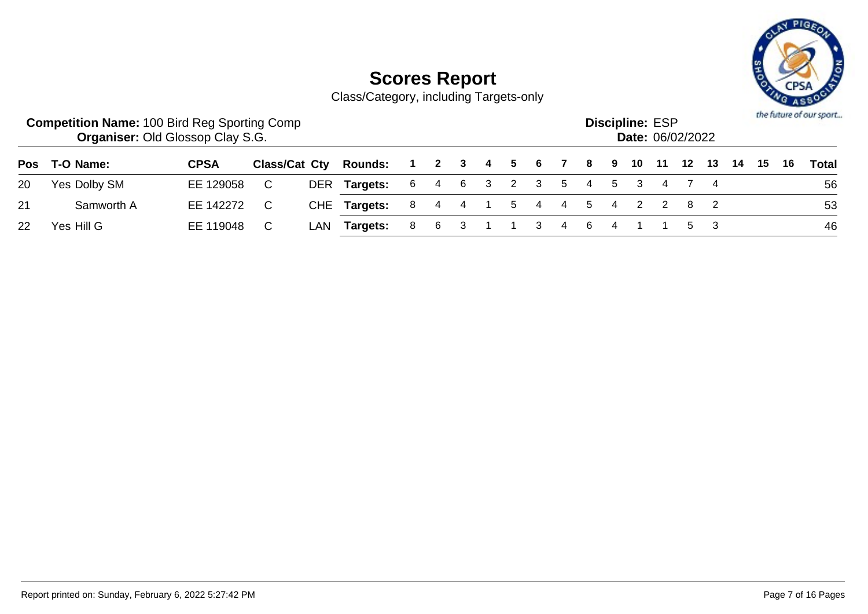

|                   | <b>Competition Name: 100 Bird Reg Sporting Comp</b><br><b>Organiser: Old Glossop Clay S.G.</b> |             |     |                                                              |                           |  |  |  |             | <b>Discipline: ESP</b> | Date: 06/02/2022 |     |  | the future of our sport |
|-------------------|------------------------------------------------------------------------------------------------|-------------|-----|--------------------------------------------------------------|---------------------------|--|--|--|-------------|------------------------|------------------|-----|--|-------------------------|
|                   | Pos T-O Name:                                                                                  | <b>CPSA</b> |     | Class/Cat Cty Rounds: 1 2 3 4 5 6 7 8 9 10 11 12 13 14 15 16 |                           |  |  |  |             |                        |                  |     |  | Total                   |
| 20                | Yes Dolby SM                                                                                   | EE 129058   |     | DER Targets:                                                 | 6 4 6 3 2 3 5 4 5 3 4 7 4 |  |  |  |             |                        |                  |     |  | 56                      |
| 21                | Samworth A                                                                                     | EE 142272   | - C | CHE Targets:                                                 | 8 4 4 1 5 4 4 5 4 2 2 8 2 |  |  |  |             |                        |                  |     |  | 53                      |
| $22 \overline{ }$ | Yes Hill G                                                                                     | EE 119048   |     | LAN <b>Targets:</b>                                          | 8 6 3                     |  |  |  | 3 4 6 4 1 1 |                        |                  | 5 3 |  | 46                      |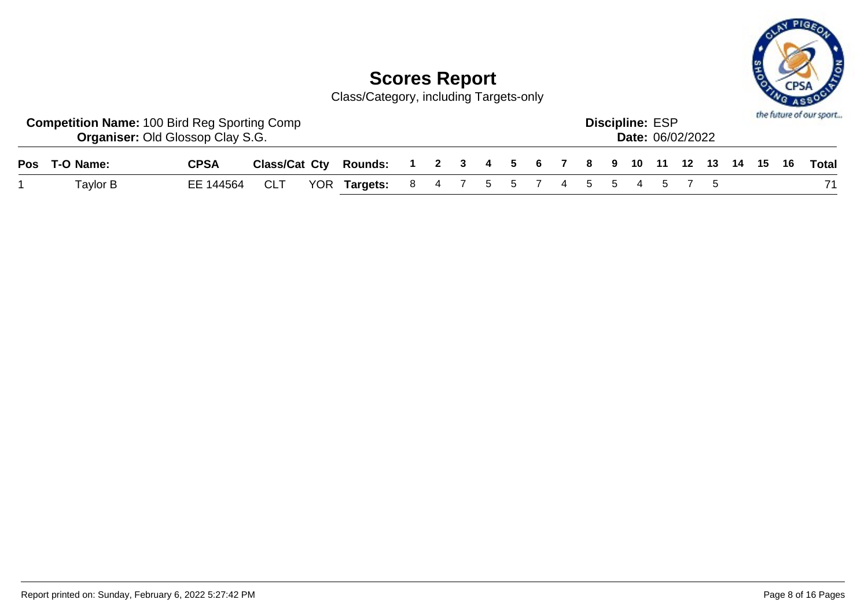

| <b>Competition Name: 100 Bird Reg Sporting Comp</b> | <b>Organiser: Old Glossop Clay S.G.</b> |            |                                                              |  |  |  |  | <b>Discipline: ESP</b> | <b>Date: 06/02/2022</b> |  |  | the future of our sport |
|-----------------------------------------------------|-----------------------------------------|------------|--------------------------------------------------------------|--|--|--|--|------------------------|-------------------------|--|--|-------------------------|
| Pos T-O Name:                                       | <b>CPSA</b>                             |            | Class/Cat Cty Rounds: 1 2 3 4 5 6 7 8 9 10 11 12 13 14 15 16 |  |  |  |  |                        |                         |  |  | Total                   |
| Taylor B                                            | EE 144564                               | <b>CLT</b> | YOR Targets: 8 4 7 5 5 7 4 5 5 4 5 7 5                       |  |  |  |  |                        |                         |  |  |                         |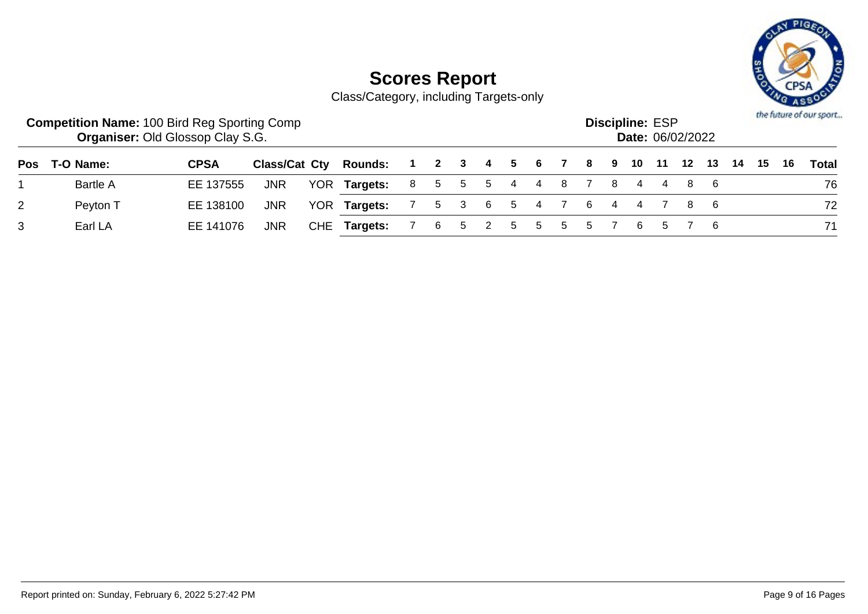

|                | <b>Competition Name: 100 Bird Reg Sporting Comp</b> | <b>Organiser: Old Glossop Clay S.G.</b> |               |                |                   |   |   |             |    |                           | <b>Discipline: ESP</b> |      | Date: 06/02/2022 |  |      | the future of our sport |
|----------------|-----------------------------------------------------|-----------------------------------------|---------------|----------------|-------------------|---|---|-------------|----|---------------------------|------------------------|------|------------------|--|------|-------------------------|
| Pos            | T-O Name:                                           | <b>CPSA</b>                             | Class/Cat Cty | <b>Rounds:</b> | 1 2 3 4 5 6 7 8 9 |   |   |             |    |                           | 10                     | - 11 |                  |  | - 16 | Total                   |
|                | <b>Bartle A</b>                                     | EE 137555                               | <b>JNR</b>    | YOR Targets:   |                   |   |   |             |    | 8 5 5 5 4 4 8 7 8 4 4 8 6 |                        |      |                  |  |      | 76                      |
| $\overline{2}$ | Peyton T                                            | EE 138100                               | <b>JNR</b>    | YOR Targets:   | $\sim$ 7 $\sim$   |   |   |             |    | 5 3 6 5 4 7 6 4 4 7 8 6   |                        |      |                  |  |      | 72                      |
| 3              | Earl LA                                             | EE 141076                               | <b>JNR</b>    | CHE Targets:   |                   | 6 | 5 | $5^{\circ}$ | -5 | 5 5 7                     | - 6 -                  |      |                  |  |      | 71                      |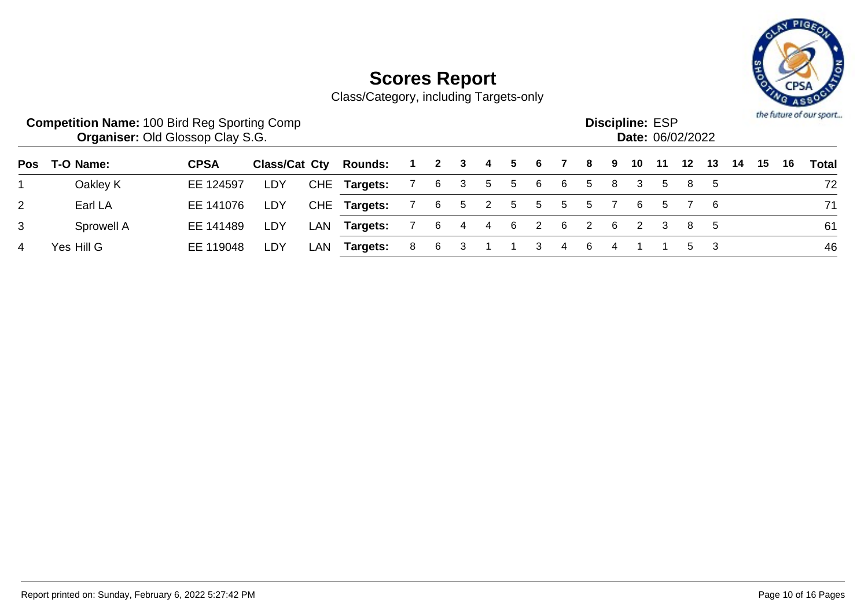

|     | <b>Competition Name: 100 Bird Reg Sporting Comp</b> | <b>Organiser: Old Glossop Clay S.G.</b> |               |     |                |                  |     |              |   |    |                |     |          |     | <b>Discipline: ESP</b><br>Date: 06/02/2022 |     |       |     |     |    |    | the future of our sport |
|-----|-----------------------------------------------------|-----------------------------------------|---------------|-----|----------------|------------------|-----|--------------|---|----|----------------|-----|----------|-----|--------------------------------------------|-----|-------|-----|-----|----|----|-------------------------|
| Pos | T-O Name:                                           | <b>CPSA</b>                             | Class/Cat Cty |     | <b>Rounds:</b> | $\blacksquare$ 1 |     |              |   |    | 2 3 4 5 6      |     | 78       | - 9 | 10                                         | -11 | 12    | 13  | -14 | 15 | 16 | <b>Total</b>            |
|     | Oakley K                                            | EE 124597                               | LDY           |     | CHE Targets:   | $\overline{7}$   | 6   | $\mathbf{3}$ | 5 | -5 | -6             | 6   | 5        | -8  | 3                                          | 5   |       | 85  |     |    |    | 72                      |
| 2   | Earl LA                                             | EE 141076                               | LDY           |     | CHE Targets:   | $\overline{7}$   | 6   |              |   |    | 5 2 5 5        |     | 5 5 7    |     | - 6                                        |     | 5 7 6 |     |     |    |    | 71                      |
| 3   | Sprowell A                                          | EE 141489                               | LDY           | LAN | Targets:       |                  | 6   | 4            |   | 46 | $\overline{2}$ | - 6 | $2 \t 6$ |     | $\sim$ 2                                   | -3  | 85    |     |     |    |    | 61                      |
| 4   | Yes Hill G                                          | EE 119048                               | LDY           | LAN | Targets:       | 8                | - 6 | 3            |   |    | 3              | 4   |          |     |                                            |     |       | 5 3 |     |    |    | 46                      |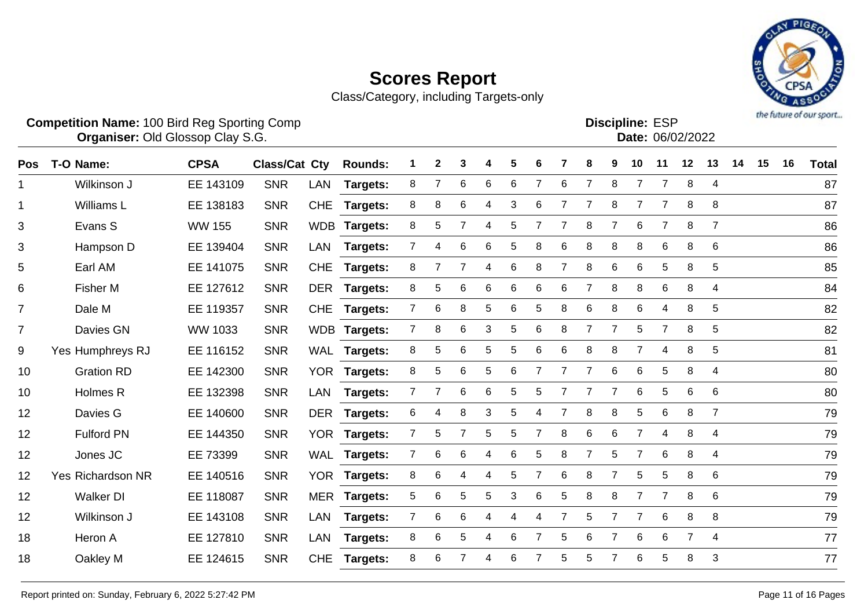

|                | <b>Competition Name: 100 Bird Reg Sporting Comp</b><br>Organiser: Old Glossop Clay S.G. |                |                      |            |                 |                |                |                |   |   | <b>Discipline: ESP</b><br>Date: 06/02/2022 |                |                |                |                |                |                | the future of our sport |    |    |    |              |
|----------------|-----------------------------------------------------------------------------------------|----------------|----------------------|------------|-----------------|----------------|----------------|----------------|---|---|--------------------------------------------|----------------|----------------|----------------|----------------|----------------|----------------|-------------------------|----|----|----|--------------|
| <b>Pos</b>     | T-O Name:                                                                               | <b>CPSA</b>    | <b>Class/Cat Cty</b> |            | <b>Rounds:</b>  |                | $\mathbf{2}$   | 3              | 4 | 5 | 6                                          | 7              | 8              | 9              | 10             | 11             | 12             | 13                      | 14 | 15 | 16 | <b>Total</b> |
| 1              | Wilkinson J                                                                             | EE 143109      | <b>SNR</b>           | LAN        | Targets:        | 8              | $\overline{7}$ | 6              | 6 | 6 | 7                                          | 6              | $\overline{7}$ | 8              | $\overline{7}$ | $\overline{7}$ | $\, 8$         | $\overline{4}$          |    |    |    | 87           |
| 1              | <b>Williams L</b>                                                                       | EE 138183      | <b>SNR</b>           | <b>CHE</b> | Targets:        | 8              | 8              | 6              | 4 | 3 | 6                                          | $\overline{7}$ | $\overline{7}$ | 8              | 7              | $\overline{7}$ | 8              | 8                       |    |    |    | 87           |
| 3              | Evans S                                                                                 | <b>WW 155</b>  | <b>SNR</b>           |            | WDB Targets:    | 8              | $\sqrt{5}$     | 7              | 4 | 5 | 7                                          | $\overline{7}$ | 8              | $\overline{7}$ | 6              | $\overline{7}$ | 8              | $\overline{7}$          |    |    |    | 86           |
| 3              | Hampson D                                                                               | EE 139404      | <b>SNR</b>           | <b>LAN</b> | Targets:        | $\overline{7}$ | $\overline{4}$ | 6              | 6 | 5 | 8                                          | 6              | 8              | 8              | 8              | 6              | 8              | 6                       |    |    |    | 86           |
| 5              | Earl AM                                                                                 | EE 141075      | <b>SNR</b>           | <b>CHE</b> | Targets:        | 8              | 7              | $\overline{7}$ | 4 | 6 | 8                                          | $\overline{7}$ | 8              | 6              | 6              | 5              | 8              | 5                       |    |    |    | 85           |
| 6              | <b>Fisher M</b>                                                                         | EE 127612      | <b>SNR</b>           | <b>DER</b> | Targets:        | 8              | 5              | 6              | 6 | 6 | 6                                          | 6              | $\overline{7}$ | 8              | 8              | 6              | 8              | 4                       |    |    |    | 84           |
| $\overline{7}$ | Dale M                                                                                  | EE 119357      | <b>SNR</b>           | <b>CHE</b> | Targets:        | $\overline{7}$ | 6              | 8              | 5 | 6 | 5                                          | 8              | 6              | 8              | $\,6$          | 4              | 8              | 5                       |    |    |    | 82           |
| $\overline{7}$ | Davies GN                                                                               | <b>WW 1033</b> | <b>SNR</b>           |            | WDB Targets:    | $\overline{7}$ | 8              | 6              | 3 | 5 | 6                                          | 8              | $\overline{7}$ | $\overline{7}$ | 5              | $\overline{7}$ | 8              | 5                       |    |    |    | 82           |
| 9              | Yes Humphreys RJ                                                                        | EE 116152      | <b>SNR</b>           |            | WAL Targets:    | 8              | 5              | 6              | 5 | 5 | 6                                          | 6              | 8              | 8              | 7              | 4              | 8              | 5                       |    |    |    | 81           |
| 10             | <b>Gration RD</b>                                                                       | EE 142300      | <b>SNR</b>           | <b>YOR</b> | Targets:        | 8              | 5              | 6              | 5 | 6 | 7                                          | 7              |                | 6              | 6              | 5              | 8              | 4                       |    |    |    | 80           |
| 10             | Holmes R                                                                                | EE 132398      | <b>SNR</b>           | <b>LAN</b> | <b>Targets:</b> | $\overline{7}$ | 7              | 6              | 6 | 5 | 5                                          | 7              | $\overline{7}$ | 7              | 6              | 5              | 6              | 6                       |    |    |    | 80           |
| 12             | Davies G                                                                                | EE 140600      | <b>SNR</b>           | <b>DER</b> | Targets:        | 6              | 4              | 8              | 3 | 5 | 4                                          | 7              | 8              | 8              | 5              | 6              | 8              | $\overline{7}$          |    |    |    | 79           |
| 12             | <b>Fulford PN</b>                                                                       | EE 144350      | <b>SNR</b>           | <b>YOR</b> | Targets:        | $\overline{7}$ | 5              | 7              | 5 | 5 |                                            | 8              | 6              | 6              | $\overline{7}$ | 4              | 8              | 4                       |    |    |    | 79           |
| 12             | Jones JC                                                                                | EE 73399       | <b>SNR</b>           |            | WAL Targets:    | $\overline{7}$ | 6              | 6              | 4 | 6 | 5                                          | 8              | $\overline{7}$ | 5              | $\overline{7}$ | $6\phantom{1}$ | 8              | 4                       |    |    |    | 79           |
| 12             | Yes Richardson NR                                                                       | EE 140516      | <b>SNR</b>           | <b>YOR</b> | <b>Targets:</b> | 8              | $\,6$          | 4              | 4 | 5 | 7                                          | 6              | 8              | $\overline{7}$ | 5              | 5              | 8              | 6                       |    |    |    | 79           |
| 12             | <b>Walker DI</b>                                                                        | EE 118087      | <b>SNR</b>           | <b>MER</b> | <b>Targets:</b> | 5              | $\,6$          | 5              | 5 | 3 | 6                                          | 5              | 8              | 8              | 7              | $\overline{7}$ | 8              | 6                       |    |    |    | 79           |
| 12             | Wilkinson J                                                                             | EE 143108      | <b>SNR</b>           | <b>LAN</b> | Targets:        | $\overline{7}$ | 6              | 6              | 4 | 4 | 4                                          |                | 5              | $\overline{7}$ | $\overline{7}$ | 6              | 8              | 8                       |    |    |    | 79           |
| 18             | Heron A                                                                                 | EE 127810      | <b>SNR</b>           | LAN        | Targets:        | 8              | 6              | 5              | 4 | 6 | 7                                          | 5              | 6              | $\overline{7}$ | 6              | 6              | $\overline{7}$ | 4                       |    |    |    | 77           |
| 18             | Oakley M                                                                                | EE 124615      | <b>SNR</b>           | <b>CHE</b> | Targets:        | 8              | 6              | 7              | 4 | 6 |                                            | 5              | 5              | $\overline{7}$ | 6              | 5              | 8              | 3                       |    |    |    | 77           |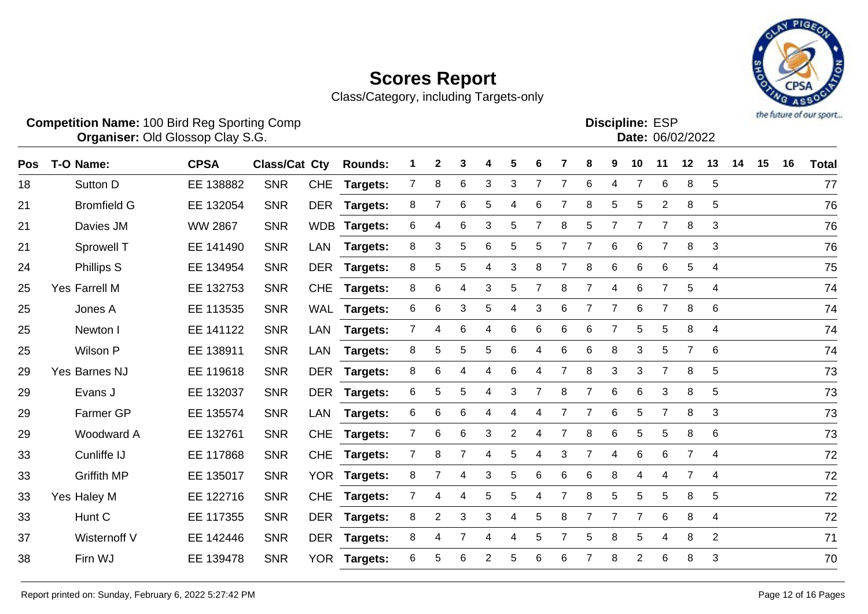

|     | <b>Competition Name: 100 Bird Reg Sporting Comp</b><br><b>Organiser: Old Glossop Clay S.G.</b><br>T-O Name:<br><b>Class/Cat Cty</b><br>2<br>3<br>5<br>4<br>6 |                |            |            |                |                |   |   |                |   |                |                |                |                |                         | <b>Discipline: ESP</b><br>Date: 06/02/2022 |                |                |    |    |    | the future of our sport |
|-----|--------------------------------------------------------------------------------------------------------------------------------------------------------------|----------------|------------|------------|----------------|----------------|---|---|----------------|---|----------------|----------------|----------------|----------------|-------------------------|--------------------------------------------|----------------|----------------|----|----|----|-------------------------|
| Pos |                                                                                                                                                              | <b>CPSA</b>    |            |            | <b>Rounds:</b> |                |   |   |                |   |                | 7              | 8              | 9              | 10                      | 11                                         | 12             | 13             | 14 | 15 | 16 | <b>Total</b>            |
| 18  | Sutton D                                                                                                                                                     | EE 138882      | <b>SNR</b> | <b>CHE</b> | Targets:       | 7              | 8 | 6 | 3              | 3 | 7              | 7              | 6              | 4              | 7                       | 6                                          | 8              | $\sqrt{5}$     |    |    |    | 77                      |
| 21  | <b>Bromfield G</b>                                                                                                                                           | EE 132054      | <b>SNR</b> | <b>DER</b> | Targets:       | 8              | 7 | 6 | 5              | 4 | 6              | 7              | 8              | 5              | 5                       | 2                                          | 8              | 5              |    |    |    | 76                      |
| 21  | Davies JM                                                                                                                                                    | <b>WW 2867</b> | <b>SNR</b> | <b>WDB</b> | Targets:       | 6              | 4 | 6 | 3              | 5 | 7              | 8              | 5              | 7              | 7                       | 7                                          | 8              | 3              |    |    |    | 76                      |
| 21  | Sprowell T                                                                                                                                                   | EE 141490      | <b>SNR</b> | <b>LAN</b> | Targets:       | 8              | 3 | 5 | 6              | 5 | 5              | $\overline{7}$ |                | $\,6$          | 6                       | $\overline{7}$                             | 8              | 3              |    |    |    | 76                      |
| 24  | <b>Phillips S</b>                                                                                                                                            | EE 134954      | <b>SNR</b> | <b>DER</b> | Targets:       | 8              | 5 | 5 | 4              | 3 | 8              | 7              | 8              | 6              | 6                       | 6                                          | 5              | 4              |    |    |    | 75                      |
| 25  | Yes Farrell M                                                                                                                                                | EE 132753      | <b>SNR</b> | <b>CHE</b> | Targets:       | 8              | 6 | 4 | 3              | 5 | $\overline{7}$ | 8              | $\overline{7}$ | 4              | 6                       | $\overline{7}$                             | 5              | 4              |    |    |    | 74                      |
| 25  | Jones A                                                                                                                                                      | EE 113535      | <b>SNR</b> | <b>WAL</b> | Targets:       | 6              | 6 | 3 | 5              | 4 | 3              | 6              |                | 7              | 6                       | 7                                          | 8              | 6              |    |    |    | 74                      |
| 25  | Newton I                                                                                                                                                     | EE 141122      | <b>SNR</b> | <b>LAN</b> | Targets:       | $\overline{7}$ | 4 | 6 | $\overline{4}$ | 6 | 6              | 6              | 6              | $\overline{7}$ | 5                       | 5                                          | 8              | 4              |    |    |    | 74                      |
| 25  | Wilson P                                                                                                                                                     | EE 138911      | <b>SNR</b> | LAN        | Targets:       | 8              | 5 | 5 | 5              | 6 | 4              | 6              | 6              | 8              | 3                       | 5                                          | 7              | 6              |    |    |    | 74                      |
| 29  | Yes Barnes NJ                                                                                                                                                | EE 119618      | <b>SNR</b> | <b>DER</b> | Targets:       | 8              | 6 | 4 | $\overline{4}$ | 6 | 4              | 7              | 8              | 3              | 3                       | $\overline{7}$                             | 8              | 5              |    |    |    | 73                      |
| 29  | Evans J                                                                                                                                                      | EE 132037      | <b>SNR</b> | <b>DER</b> | Targets:       | 6              | 5 | 5 | 4              | 3 | 7              | 8              | 7              | 6              | 6                       | 3                                          | 8              | 5              |    |    |    | 73                      |
| 29  | Farmer GP                                                                                                                                                    | EE 135574      | <b>SNR</b> | <b>LAN</b> | Targets:       | 6              | 6 | 6 | 4              | 4 | 4              | 7              | 7              | $\,6$          | 5                       | $\overline{7}$                             | 8              | 3              |    |    |    | 73                      |
| 29  | Woodward A                                                                                                                                                   | EE 132761      | <b>SNR</b> | <b>CHE</b> | Targets:       | 7              | 6 | 6 | 3              | 2 | 4              | 7              | 8              | 6              | 5                       | 5                                          | 8              | 6              |    |    |    | 73                      |
| 33  | Cunliffe IJ                                                                                                                                                  | EE 117868      | <b>SNR</b> | <b>CHE</b> | Targets:       | $\overline{7}$ | 8 | 7 | $\overline{4}$ | 5 | 4              | 3              | $\overline{7}$ | 4              | 6                       | 6                                          | $\overline{7}$ | 4              |    |    |    | 72                      |
| 33  | <b>Griffith MP</b>                                                                                                                                           | EE 135017      | <b>SNR</b> | <b>YOR</b> | Targets:       | 8              | 7 | 4 | 3              | 5 | 6              | 6              | 6              | 8              | 4                       | 4                                          | 7              | 4              |    |    |    | 72                      |
| 33  | Yes Haley M                                                                                                                                                  | EE 122716      | <b>SNR</b> | <b>CHE</b> | Targets:       | 7              | 4 | 4 | 5              | 5 | 4              | 7              | 8              | $\sqrt{5}$     | 5                       | 5                                          | 8              | 5              |    |    |    | 72                      |
| 33  | Hunt C                                                                                                                                                       | EE 117355      | <b>SNR</b> | <b>DER</b> | Targets:       | 8              | 2 | 3 | 3              | 4 | 5              | 8              |                | 7              | 7                       | 6                                          | 8              | 4              |    |    |    | 72                      |
| 37  | Wisternoff V                                                                                                                                                 | EE 142446      | <b>SNR</b> | <b>DER</b> | Targets:       | 8              | 4 |   | $\overline{4}$ | 4 | 5              | 7              | 5              | 8              | 5                       | 4                                          | 8              | $\overline{2}$ |    |    |    | 71                      |
| 38  | Firn WJ                                                                                                                                                      | EE 139478      | <b>SNR</b> | <b>YOR</b> | Targets:       | 6              | 5 | 6 | $\overline{2}$ | 5 | 6              | 6              | 7              | 8              | $\overline{\mathbf{c}}$ | 6                                          | 8              | 3              |    |    |    | 70                      |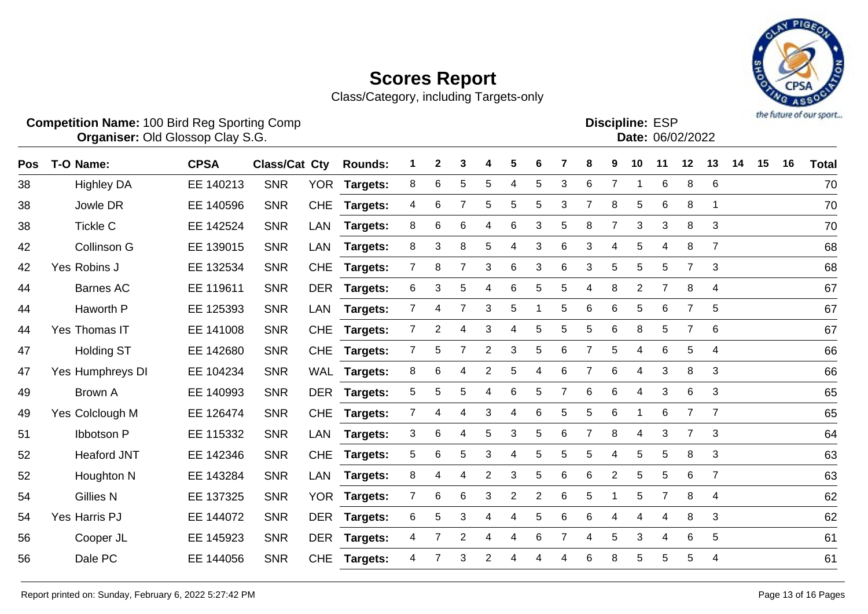

|     | <b>Competition Name: 100 Bird Reg Sporting Comp</b><br><b>Organiser: Old Glossop Clay S.G.</b> |             |                      |            |                |                |   |                |                |   |                |   | <b>Discipline: ESP</b><br>Date: 06/02/2022 |                |                |                |                |                | the future of our sport |    |    |              |
|-----|------------------------------------------------------------------------------------------------|-------------|----------------------|------------|----------------|----------------|---|----------------|----------------|---|----------------|---|--------------------------------------------|----------------|----------------|----------------|----------------|----------------|-------------------------|----|----|--------------|
| Pos | T-O Name:                                                                                      | <b>CPSA</b> | <b>Class/Cat Cty</b> |            | <b>Rounds:</b> |                | 2 | 3              | 4              | 5 | 6              |   | 8                                          | 9              | 10             | 11             | 12             | 13             | 14                      | 15 | 16 | <b>Total</b> |
| 38  | <b>Highley DA</b>                                                                              | EE 140213   | <b>SNR</b>           | <b>YOR</b> | Targets:       | 8              | 6 | 5              | 5              | 4 | 5              | 3 | 6                                          | $\overline{7}$ |                | 6              | 8              | $\,6$          |                         |    |    | 70           |
| 38  | Jowle DR                                                                                       | EE 140596   | <b>SNR</b>           | <b>CHE</b> | Targets:       | 4              | 6 | $\overline{7}$ | 5              | 5 | 5              | 3 | $\overline{7}$                             | 8              | 5              | 6              | 8              | 1              |                         |    |    | 70           |
| 38  | <b>Tickle C</b>                                                                                | EE 142524   | <b>SNR</b>           | <b>LAN</b> | Targets:       | 8              | 6 | 6              | $\overline{4}$ | 6 | 3              | 5 | 8                                          | $\overline{7}$ | 3              | 3              | 8              | 3              |                         |    |    | 70           |
| 42  | Collinson G                                                                                    | EE 139015   | <b>SNR</b>           | <b>LAN</b> | Targets:       | 8              | 3 | 8              | 5              | 4 | 3              | 6 | 3                                          | $\overline{4}$ | 5              | 4              | 8              | $\overline{7}$ |                         |    |    | 68           |
| 42  | Yes Robins J                                                                                   | EE 132534   | <b>SNR</b>           | <b>CHE</b> | Targets:       | 7              | 8 | $\overline{7}$ | 3              | 6 | 3              | 6 | 3                                          | $\sqrt{5}$     | 5              | 5              | 7              | 3              |                         |    |    | 68           |
| 44  | <b>Barnes AC</b>                                                                               | EE 119611   | <b>SNR</b>           | <b>DER</b> | Targets:       | 6              | 3 | 5              | 4              | 6 | 5              | 5 | 4                                          | 8              | $\overline{2}$ | $\overline{7}$ | 8              | 4              |                         |    |    | 67           |
| 44  | Haworth P                                                                                      | EE 125393   | <b>SNR</b>           | <b>LAN</b> | Targets:       | $\overline{7}$ | 4 | 7              | 3              | 5 |                | 5 | 6                                          | $\,6$          | 5              | 6              | $\overline{7}$ | 5              |                         |    |    | 67           |
| 44  | Yes Thomas IT                                                                                  | EE 141008   | <b>SNR</b>           | <b>CHE</b> | Targets:       | $\overline{7}$ | 2 | 4              | 3              | 4 | 5              | 5 | 5                                          | 6              | 8              | 5              | 7              | 6              |                         |    |    | 67           |
| 47  | <b>Holding ST</b>                                                                              | EE 142680   | <b>SNR</b>           | <b>CHE</b> | Targets:       | $\overline{7}$ | 5 | 7              | $\overline{2}$ | 3 | 5              | 6 | 7                                          | $\sqrt{5}$     | 4              | 6              | 5              | 4              |                         |    |    | 66           |
| 47  | Yes Humphreys DI                                                                               | EE 104234   | <b>SNR</b>           | <b>WAL</b> | Targets:       | 8              | 6 | 4              | $\overline{2}$ | 5 | 4              | 6 |                                            | 6              | 4              | 3              | 8              | 3              |                         |    |    | 66           |
| 49  | <b>Brown A</b>                                                                                 | EE 140993   | <b>SNR</b>           | <b>DER</b> | Targets:       | 5              | 5 | 5              | 4              | 6 | 5              | 7 | 6                                          | 6              | 4              | 3              | 6              | 3              |                         |    |    | 65           |
| 49  | Yes Colclough M                                                                                | EE 126474   | <b>SNR</b>           | <b>CHE</b> | Targets:       | 7              | 4 | 4              | 3              | 4 | 6              | 5 | 5                                          | $\,6$          | -1             | 6              | 7              | $\overline{7}$ |                         |    |    | 65           |
| 51  | <b>Ibbotson P</b>                                                                              | EE 115332   | <b>SNR</b>           | LAN        | Targets:       | 3              | 6 | 4              | 5              | 3 | 5              | 6 | $\overline{7}$                             | 8              | 4              | 3              | $\overline{7}$ | 3              |                         |    |    | 64           |
| 52  | <b>Heaford JNT</b>                                                                             | EE 142346   | <b>SNR</b>           | <b>CHE</b> | Targets:       | 5              | 6 | 5              | 3              | 4 | 5              | 5 | 5                                          | $\overline{4}$ | 5              | 5              | 8              | 3              |                         |    |    | 63           |
| 52  | Houghton N                                                                                     | EE 143284   | <b>SNR</b>           | <b>LAN</b> | Targets:       | 8              | 4 | 4              | $\overline{2}$ | 3 | 5              | 6 | 6                                          | $\overline{2}$ | 5              | 5              | 6              | $\overline{7}$ |                         |    |    | 63           |
| 54  | <b>Gillies N</b>                                                                               | EE 137325   | <b>SNR</b>           | <b>YOR</b> | Targets:       | 7              | 6 | 6              | 3              | 2 | $\overline{2}$ | 6 | 5                                          | 1              | 5              | 7              | 8              | 4              |                         |    |    | 62           |
| 54  | Yes Harris PJ                                                                                  | EE 144072   | <b>SNR</b>           | <b>DER</b> | Targets:       | 6              | 5 | 3              | 4              | 4 | 5              | 6 | 6                                          | 4              | 4              | 4              | 8              | 3              |                         |    |    | 62           |
| 56  | Cooper JL                                                                                      | EE 145923   | <b>SNR</b>           | <b>DER</b> | Targets:       | 4              | 7 | $\overline{2}$ | 4              | 4 | 6              | 7 | 4                                          | 5              | 3              | 4              | 6              | 5              |                         |    |    | 61           |
| 56  | Dale PC                                                                                        | EE 144056   | <b>SNR</b>           | <b>CHE</b> | Targets:       | 4              | 7 | 3              | $\overline{2}$ | 4 | 4              | 4 | 6                                          | 8              | 5              | 5              | 5              | 4              |                         |    |    | 61           |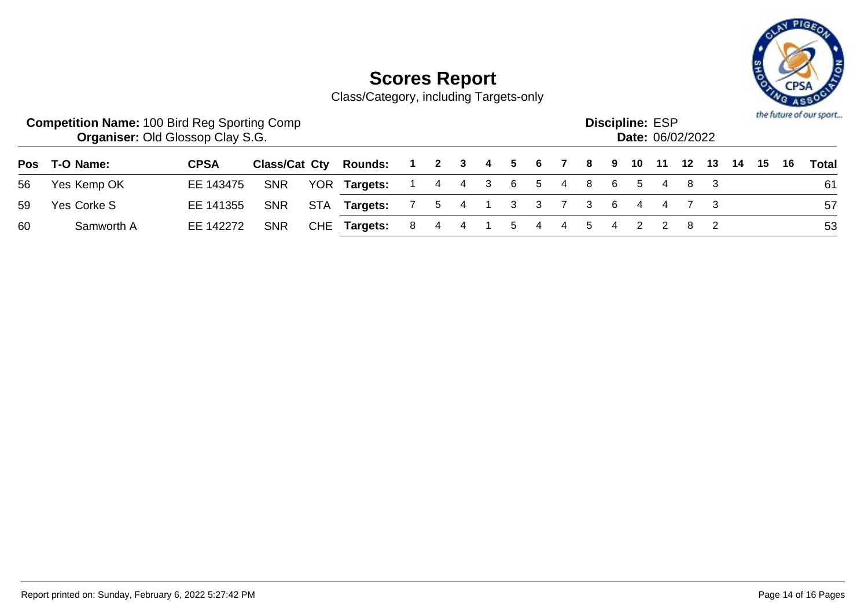

|    | <b>Competition Name: 100 Bird Reg Sporting Comp</b><br><b>Organiser: Old Glossop Clay S.G.</b> |             |            |     |                                            |                           |                |  | the future of our sport |                |  |       |  |  |    |  |      |       |
|----|------------------------------------------------------------------------------------------------|-------------|------------|-----|--------------------------------------------|---------------------------|----------------|--|-------------------------|----------------|--|-------|--|--|----|--|------|-------|
|    | Pos T-O Name:                                                                                  | <b>CPSA</b> |            |     | Class/Cat Cty Rounds: 1 2 3 4 5 6 7 8 9 10 |                           |                |  |                         |                |  |       |  |  |    |  | - 16 | Total |
| 56 | Yes Kemp OK                                                                                    | EE 143475   | <b>SNR</b> |     | YOR Targets:                               | 1 4 4 3 6 5 4 8 6 5 4 8 3 |                |  |                         |                |  |       |  |  |    |  |      | 61    |
| 59 | Yes Corke S                                                                                    | EE 141355   | <b>SNR</b> | STA | <b>Targets:</b> 7 5 4 1 3 3 7 3 6 4 4 7 3  |                           |                |  |                         |                |  |       |  |  |    |  |      | -57   |
| 60 | Samworth A                                                                                     | EE 142272   | <b>SNR</b> |     | CHE Targets:                               | $\sim$ 8 $\sim$           | $\overline{4}$ |  | 5                       | $\overline{4}$ |  | 4 5 4 |  |  | 82 |  |      | 53    |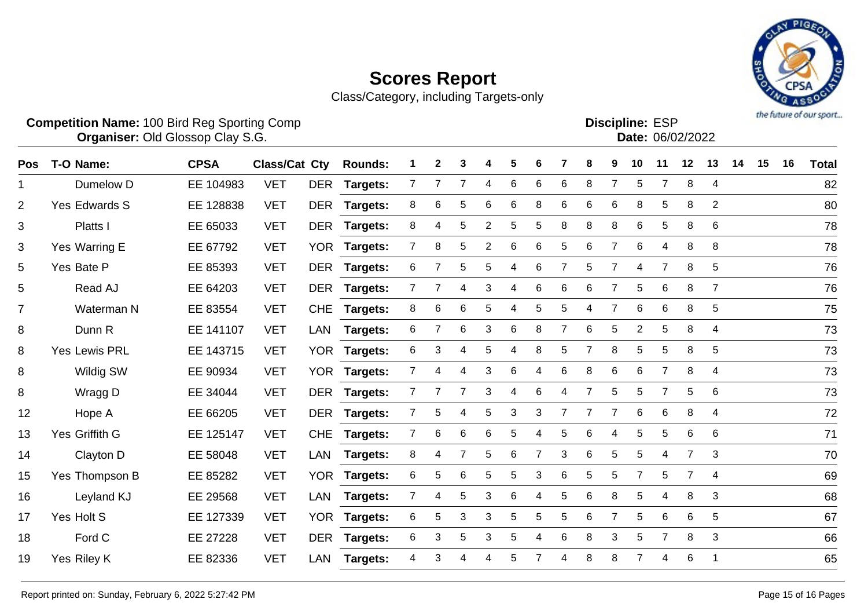

|                | <b>Competition Name: 100 Bird Reg Sporting Comp</b><br><b>Organiser: Old Glossop Clay S.G.</b> |             |                      |            |                 |                | <b>Discipline: ESP</b><br>Date: 06/02/2022 |                |                |   |   |                |   | the future of our sport |                |                |                |                         |    |    |    |              |
|----------------|------------------------------------------------------------------------------------------------|-------------|----------------------|------------|-----------------|----------------|--------------------------------------------|----------------|----------------|---|---|----------------|---|-------------------------|----------------|----------------|----------------|-------------------------|----|----|----|--------------|
| Pos            | T-O Name:                                                                                      | <b>CPSA</b> | <b>Class/Cat Cty</b> |            | <b>Rounds:</b>  |                | $\mathbf{2}$                               | 3              |                | 5 | 6 |                |   | 9                       | 10             | 11             | 12             | 13                      | 14 | 15 | 16 | <b>Total</b> |
| $\mathbf 1$    | Dumelow D                                                                                      | EE 104983   | <b>VET</b>           | <b>DER</b> | Targets:        | $\overline{7}$ | 7                                          | 7              | 4              | 6 | 6 | 6              | 8 | $\overline{7}$          | 5              | $\overline{7}$ | 8              | $\overline{\mathbf{4}}$ |    |    |    | 82           |
| $\overline{2}$ | <b>Yes Edwards S</b>                                                                           | EE 128838   | <b>VET</b>           | <b>DER</b> | Targets:        | 8              | 6                                          | 5              | 6              | 6 | 8 | 6              | 6 | 6                       | 8              | 5              | 8              | $\overline{2}$          |    |    |    | 80           |
| 3              | Platts I                                                                                       | EE 65033    | <b>VET</b>           | <b>DER</b> | Targets:        | 8              | 4                                          | 5              | $\overline{2}$ | 5 | 5 | 8              | 8 | 8                       | 6              | 5              | 8              | 6                       |    |    |    | 78           |
| 3              | Yes Warring E                                                                                  | EE 67792    | <b>VET</b>           | <b>YOR</b> | Targets:        | $\overline{7}$ | 8                                          | $\sqrt{5}$     | $\overline{2}$ | 6 | 6 | 5              | 6 | $\overline{7}$          | 6              | 4              | 8              | 8                       |    |    |    | 78           |
| 5              | Yes Bate P                                                                                     | EE 85393    | <b>VET</b>           | <b>DER</b> | Targets:        | 6              | 7                                          | 5              | 5              | 4 | 6 | 7              | 5 | $\overline{7}$          | 4              | $\overline{7}$ | 8              | 5                       |    |    |    | 76           |
| 5              | Read AJ                                                                                        | EE 64203    | <b>VET</b>           | <b>DER</b> | <b>Targets:</b> | $\overline{7}$ | $\overline{7}$                             | 4              | 3              | 4 | 6 | 6              | 6 | $\overline{7}$          | 5              | 6              | 8              | $\overline{7}$          |    |    |    | 76           |
| $\overline{7}$ | Waterman N                                                                                     | EE 83554    | <b>VET</b>           | <b>CHE</b> | Targets:        | 8              | 6                                          | 6              | 5              | 4 | 5 | 5              | 4 | $\overline{7}$          | $\,6$          | 6              | 8              | 5                       |    |    |    | 75           |
| 8              | Dunn R                                                                                         | EE 141107   | <b>VET</b>           | LAN        | Targets:        | 6              | $\overline{7}$                             | 6              | 3              | 6 | 8 | 7              | 6 | 5                       | $\overline{2}$ | 5              | 8              | 4                       |    |    |    | 73           |
| 8              | <b>Yes Lewis PRL</b>                                                                           | EE 143715   | <b>VET</b>           | <b>YOR</b> | Targets:        | 6              | 3                                          | 4              | 5              | 4 | 8 | 5              |   | 8                       | 5              | $\mathbf 5$    | 8              | 5                       |    |    |    | 73           |
| 8              | <b>Wildig SW</b>                                                                               | EE 90934    | <b>VET</b>           | <b>YOR</b> | Targets:        | $\overline{7}$ | 4                                          | 4              | 3              | 6 | 4 | 6              | 8 | 6                       | $\,6$          | $\overline{7}$ | 8              | 4                       |    |    |    | 73           |
| 8              | Wragg D                                                                                        | EE 34044    | <b>VET</b>           | <b>DER</b> | Targets:        | $\overline{7}$ | 7                                          | 7              | 3              | 4 | 6 | 4              |   | 5                       | 5              | $\overline{7}$ | 5              | 6                       |    |    |    | 73           |
| 12             | Hope A                                                                                         | EE 66205    | <b>VET</b>           | <b>DER</b> | Targets:        | $\overline{7}$ | 5                                          | 4              | 5              | 3 | 3 | $\overline{7}$ |   | $\overline{7}$          | 6              | 6              | 8              | 4                       |    |    |    | 72           |
| 13             | Yes Griffith G                                                                                 | EE 125147   | <b>VET</b>           | <b>CHE</b> | Targets:        | $\overline{7}$ | 6                                          | 6              | 6              | 5 | 4 | 5              | 6 | 4                       | 5              | 5              | 6              | $\,6$                   |    |    |    | 71           |
| 14             | Clayton D                                                                                      | EE 58048    | <b>VET</b>           | <b>LAN</b> | Targets:        | 8              | 4                                          | $\overline{7}$ | 5              | 6 | 7 | 3              | 6 | 5                       | 5              | 4              | $\overline{7}$ | 3                       |    |    |    | 70           |
| 15             | Yes Thompson B                                                                                 | EE 85282    | <b>VET</b>           |            | YOR Targets:    | 6              | 5                                          | 6              | 5              | 5 | 3 | 6              | 5 | 5                       | $\overline{7}$ | 5              | 7              | 4                       |    |    |    | 69           |
| 16             | Leyland KJ                                                                                     | EE 29568    | <b>VET</b>           | <b>LAN</b> | Targets:        | $\overline{7}$ | 4                                          | 5              | 3              | 6 | 4 | 5              | 6 | 8                       | 5              | 4              | 8              | 3                       |    |    |    | 68           |
| 17             | Yes Holt S                                                                                     | EE 127339   | <b>VET</b>           | <b>YOR</b> | Targets:        | 6              | 5                                          | 3              | 3              | 5 | 5 | 5              | 6 | 7                       | 5              | 6              | 6              | 5                       |    |    |    | 67           |
| 18             | Ford C                                                                                         | EE 27228    | <b>VET</b>           | <b>DER</b> | Targets:        | 6              | 3                                          | 5              | 3              | 5 | 4 | 6              | 8 | 3                       | 5              | $\overline{7}$ | 8              | 3                       |    |    |    | 66           |
| 19             | Yes Riley K                                                                                    | EE 82336    | <b>VET</b>           | <b>LAN</b> | Targets:        |                | 3                                          | 4              |                | 5 |   | 4              | 8 | 8                       | 7              | 4              | 6              | 1                       |    |    |    | 65           |